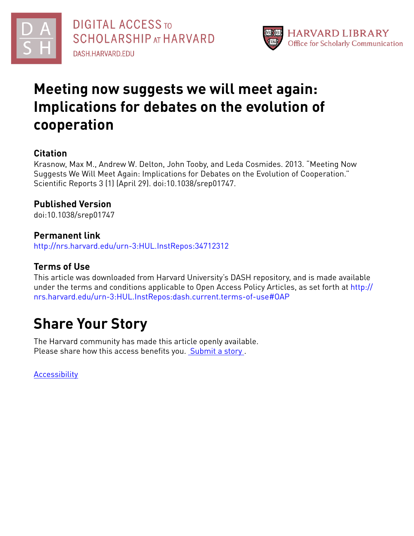



# **Meeting now suggests we will meet again: Implications for debates on the evolution of cooperation**

# **Citation**

Krasnow, Max M., Andrew W. Delton, John Tooby, and Leda Cosmides. 2013. "Meeting Now Suggests We Will Meet Again: Implications for Debates on the Evolution of Cooperation." Scientific Reports 3 (1) (April 29). doi:10.1038/srep01747.

# **Published Version**

doi:10.1038/srep01747

# **Permanent link**

<http://nrs.harvard.edu/urn-3:HUL.InstRepos:34712312>

# **Terms of Use**

This article was downloaded from Harvard University's DASH repository, and is made available under the terms and conditions applicable to Open Access Policy Articles, as set forth at [http://](http://nrs.harvard.edu/urn-3:HUL.InstRepos:dash.current.terms-of-use#OAP) [nrs.harvard.edu/urn-3:HUL.InstRepos:dash.current.terms-of-use#OAP](http://nrs.harvard.edu/urn-3:HUL.InstRepos:dash.current.terms-of-use#OAP)

# **Share Your Story**

The Harvard community has made this article openly available. Please share how this access benefits you. [Submit](http://osc.hul.harvard.edu/dash/open-access-feedback?handle=&title=Meeting%20now%20suggests%20we%20will%20meet%20again:%20Implications%20for%20debates%20on%20the%20evolution%20of%20cooperation&community=1/1&collection=1/2&owningCollection1/2&harvardAuthors=4f09c7ba120d48984a6c9e8b6ccac6c9&departmentPsychology) a story.

[Accessibility](https://dash.harvard.edu/pages/accessibility)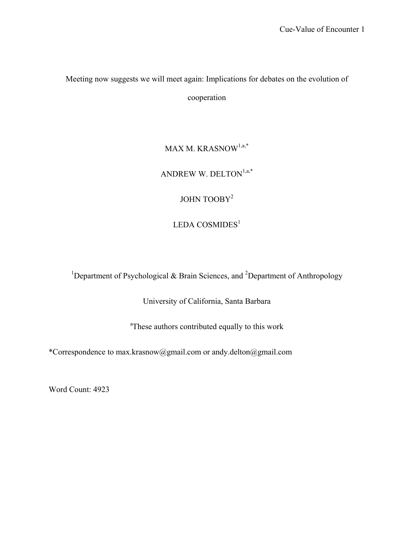Meeting now suggests we will meet again: Implications for debates on the evolution of cooperation

> $\text{MAX M. KRAS} \text{NOW}^{1,\text{a},\ast}$ ANDREW W. DELTON $^{1,a,\ast}$ JOHN TOOBY<sup>2</sup>  $LEDA$   $COSMIDES<sup>1</sup>$

<sup>1</sup>Department of Psychological & Brain Sciences, and <sup>2</sup>Department of Anthropology

University of California, Santa Barbara

<sup>a</sup>These authors contributed equally to this work

\*Correspondence to max.krasnow@gmail.com or andy.delton@gmail.com

Word Count: 4923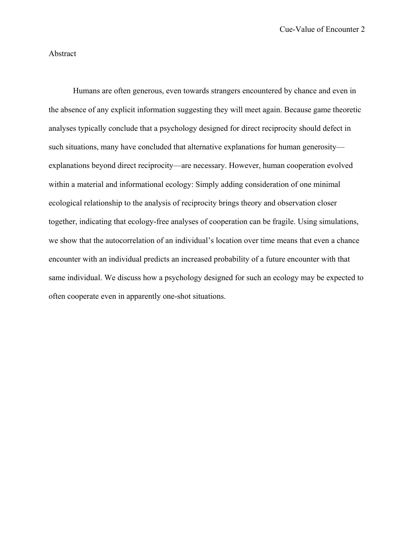# Abstract

Humans are often generous, even towards strangers encountered by chance and even in the absence of any explicit information suggesting they will meet again. Because game theoretic analyses typically conclude that a psychology designed for direct reciprocity should defect in such situations, many have concluded that alternative explanations for human generosity explanations beyond direct reciprocity—are necessary. However, human cooperation evolved within a material and informational ecology: Simply adding consideration of one minimal ecological relationship to the analysis of reciprocity brings theory and observation closer together, indicating that ecology-free analyses of cooperation can be fragile. Using simulations, we show that the autocorrelation of an individual's location over time means that even a chance encounter with an individual predicts an increased probability of a future encounter with that same individual. We discuss how a psychology designed for such an ecology may be expected to often cooperate even in apparently one-shot situations.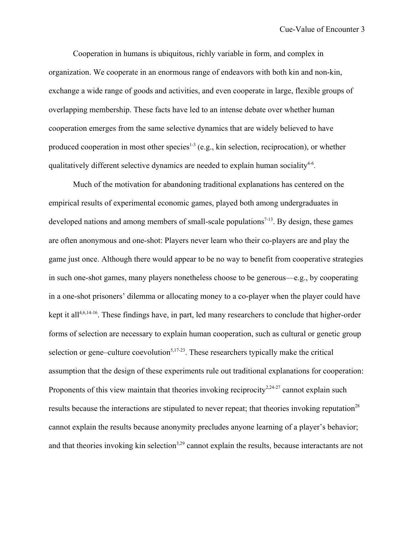Cooperation in humans is ubiquitous, richly variable in form, and complex in organization. We cooperate in an enormous range of endeavors with both kin and non-kin, exchange a wide range of goods and activities, and even cooperate in large, flexible groups of overlapping membership. These facts have led to an intense debate over whether human cooperation emerges from the same selective dynamics that are widely believed to have produced cooperation in most other species $1-3$  (e.g., kin selection, reciprocation), or whether qualitatively different selective dynamics are needed to explain human sociality<sup>4-6</sup>.

Much of the motivation for abandoning traditional explanations has centered on the empirical results of experimental economic games, played both among undergraduates in developed nations and among members of small-scale populations<sup> $7-13$ </sup>. By design, these games are often anonymous and one-shot: Players never learn who their co-players are and play the game just once. Although there would appear to be no way to benefit from cooperative strategies in such one-shot games, many players nonetheless choose to be generous—e.g., by cooperating in a one-shot prisoners' dilemma or allocating money to a co-player when the player could have kept it all<sup>4,6,14-16</sup>. These findings have, in part, led many researchers to conclude that higher-order forms of selection are necessary to explain human cooperation, such as cultural or genetic group selection or gene–culture coevolution $5,17-23$ . These researchers typically make the critical assumption that the design of these experiments rule out traditional explanations for cooperation: Proponents of this view maintain that theories invoking reciprocity<sup>2,24-27</sup> cannot explain such results because the interactions are stipulated to never repeat; that theories invoking reputation<sup>28</sup> cannot explain the results because anonymity precludes anyone learning of a player's behavior; and that theories invoking kin selection<sup>3,29</sup> cannot explain the results, because interactants are not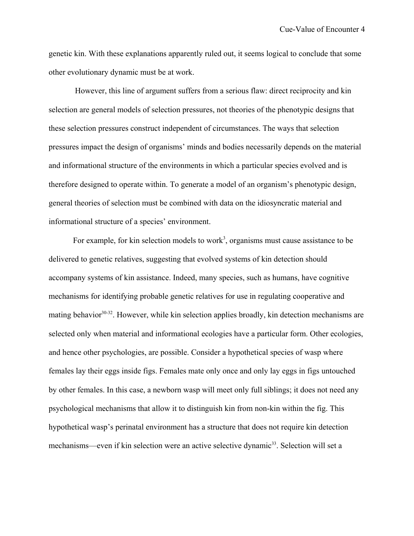genetic kin. With these explanations apparently ruled out, it seems logical to conclude that some other evolutionary dynamic must be at work.

 However, this line of argument suffers from a serious flaw: direct reciprocity and kin selection are general models of selection pressures, not theories of the phenotypic designs that these selection pressures construct independent of circumstances. The ways that selection pressures impact the design of organisms' minds and bodies necessarily depends on the material and informational structure of the environments in which a particular species evolved and is therefore designed to operate within. To generate a model of an organism's phenotypic design, general theories of selection must be combined with data on the idiosyncratic material and informational structure of a species' environment.

For example, for kin selection models to work<sup>3</sup>, organisms must cause assistance to be delivered to genetic relatives, suggesting that evolved systems of kin detection should accompany systems of kin assistance. Indeed, many species, such as humans, have cognitive mechanisms for identifying probable genetic relatives for use in regulating cooperative and mating behavior<sup>30-32</sup>. However, while kin selection applies broadly, kin detection mechanisms are selected only when material and informational ecologies have a particular form. Other ecologies, and hence other psychologies, are possible. Consider a hypothetical species of wasp where females lay their eggs inside figs. Females mate only once and only lay eggs in figs untouched by other females. In this case, a newborn wasp will meet only full siblings; it does not need any psychological mechanisms that allow it to distinguish kin from non-kin within the fig. This hypothetical wasp's perinatal environment has a structure that does not require kin detection mechanisms—even if kin selection were an active selective dynamic<sup>33</sup>. Selection will set a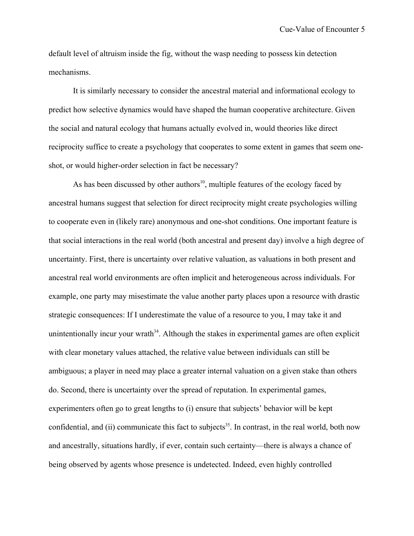default level of altruism inside the fig, without the wasp needing to possess kin detection mechanisms.

It is similarly necessary to consider the ancestral material and informational ecology to predict how selective dynamics would have shaped the human cooperative architecture. Given the social and natural ecology that humans actually evolved in, would theories like direct reciprocity suffice to create a psychology that cooperates to some extent in games that seem oneshot, or would higher-order selection in fact be necessary?

As has been discussed by other authors<sup>10</sup>, multiple features of the ecology faced by ancestral humans suggest that selection for direct reciprocity might create psychologies willing to cooperate even in (likely rare) anonymous and one-shot conditions. One important feature is that social interactions in the real world (both ancestral and present day) involve a high degree of uncertainty. First, there is uncertainty over relative valuation, as valuations in both present and ancestral real world environments are often implicit and heterogeneous across individuals. For example, one party may misestimate the value another party places upon a resource with drastic strategic consequences: If I underestimate the value of a resource to you, I may take it and unintentionally incur your wrath $34$ . Although the stakes in experimental games are often explicit with clear monetary values attached, the relative value between individuals can still be ambiguous; a player in need may place a greater internal valuation on a given stake than others do. Second, there is uncertainty over the spread of reputation. In experimental games, experimenters often go to great lengths to (i) ensure that subjects' behavior will be kept confidential, and (ii) communicate this fact to subjects<sup>35</sup>. In contrast, in the real world, both now and ancestrally, situations hardly, if ever, contain such certainty—there is always a chance of being observed by agents whose presence is undetected. Indeed, even highly controlled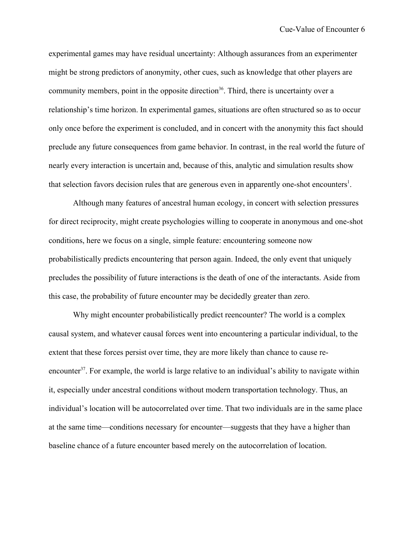experimental games may have residual uncertainty: Although assurances from an experimenter might be strong predictors of anonymity, other cues, such as knowledge that other players are community members, point in the opposite direction<sup>36</sup>. Third, there is uncertainty over a relationship's time horizon. In experimental games, situations are often structured so as to occur only once before the experiment is concluded, and in concert with the anonymity this fact should preclude any future consequences from game behavior. In contrast, in the real world the future of nearly every interaction is uncertain and, because of this, analytic and simulation results show that selection favors decision rules that are generous even in apparently one-shot encounters<sup>1</sup>.

Although many features of ancestral human ecology, in concert with selection pressures for direct reciprocity, might create psychologies willing to cooperate in anonymous and one-shot conditions, here we focus on a single, simple feature: encountering someone now probabilistically predicts encountering that person again. Indeed, the only event that uniquely precludes the possibility of future interactions is the death of one of the interactants. Aside from this case, the probability of future encounter may be decidedly greater than zero.

Why might encounter probabilistically predict reencounter? The world is a complex causal system, and whatever causal forces went into encountering a particular individual, to the extent that these forces persist over time, they are more likely than chance to cause reencounter<sup>37</sup>. For example, the world is large relative to an individual's ability to navigate within it, especially under ancestral conditions without modern transportation technology. Thus, an individual's location will be autocorrelated over time. That two individuals are in the same place at the same time—conditions necessary for encounter—suggests that they have a higher than baseline chance of a future encounter based merely on the autocorrelation of location.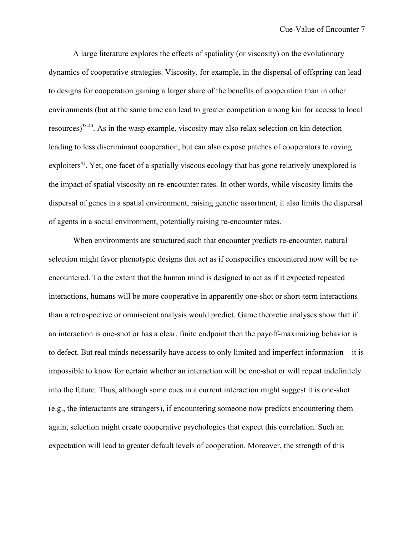A large literature explores the effects of spatiality (or viscosity) on the evolutionary dynamics of cooperative strategies. Viscosity, for example, in the dispersal of offspring can lead to designs for cooperation gaining a larger share of the benefits of cooperation than in other environments (but at the same time can lead to greater competition among kin for access to local resources)38-40. As in the wasp example, viscosity may also relax selection on kin detection leading to less discriminant cooperation, but can also expose patches of cooperators to roving exploiters<sup>41</sup>. Yet, one facet of a spatially viscous ecology that has gone relatively unexplored is the impact of spatial viscosity on re-encounter rates. In other words, while viscosity limits the dispersal of genes in a spatial environment, raising genetic assortment, it also limits the dispersal of agents in a social environment, potentially raising re-encounter rates.

When environments are structured such that encounter predicts re-encounter, natural selection might favor phenotypic designs that act as if conspecifics encountered now will be reencountered. To the extent that the human mind is designed to act as if it expected repeated interactions, humans will be more cooperative in apparently one-shot or short-term interactions than a retrospective or omniscient analysis would predict. Game theoretic analyses show that if an interaction is one-shot or has a clear, finite endpoint then the payoff-maximizing behavior is to defect. But real minds necessarily have access to only limited and imperfect information—it is impossible to know for certain whether an interaction will be one-shot or will repeat indefinitely into the future. Thus, although some cues in a current interaction might suggest it is one-shot (e.g., the interactants are strangers), if encountering someone now predicts encountering them again, selection might create cooperative psychologies that expect this correlation. Such an expectation will lead to greater default levels of cooperation. Moreover, the strength of this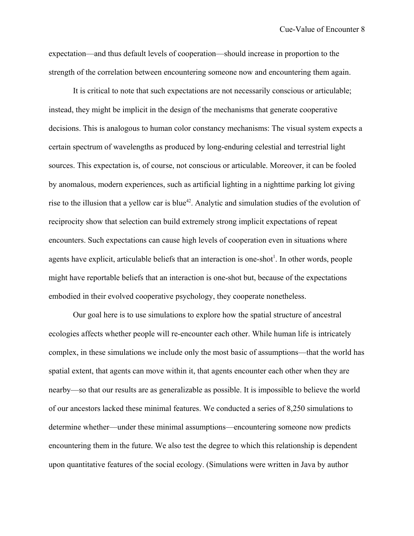expectation—and thus default levels of cooperation—should increase in proportion to the strength of the correlation between encountering someone now and encountering them again.

It is critical to note that such expectations are not necessarily conscious or articulable; instead, they might be implicit in the design of the mechanisms that generate cooperative decisions. This is analogous to human color constancy mechanisms: The visual system expects a certain spectrum of wavelengths as produced by long-enduring celestial and terrestrial light sources. This expectation is, of course, not conscious or articulable. Moreover, it can be fooled by anomalous, modern experiences, such as artificial lighting in a nighttime parking lot giving rise to the illusion that a yellow car is blue<sup>42</sup>. Analytic and simulation studies of the evolution of reciprocity show that selection can build extremely strong implicit expectations of repeat encounters. Such expectations can cause high levels of cooperation even in situations where agents have explicit, articulable beliefs that an interaction is one-shot<sup>1</sup>. In other words, people might have reportable beliefs that an interaction is one-shot but, because of the expectations embodied in their evolved cooperative psychology, they cooperate nonetheless.

Our goal here is to use simulations to explore how the spatial structure of ancestral ecologies affects whether people will re-encounter each other. While human life is intricately complex, in these simulations we include only the most basic of assumptions—that the world has spatial extent, that agents can move within it, that agents encounter each other when they are nearby—so that our results are as generalizable as possible. It is impossible to believe the world of our ancestors lacked these minimal features. We conducted a series of 8,250 simulations to determine whether—under these minimal assumptions—encountering someone now predicts encountering them in the future. We also test the degree to which this relationship is dependent upon quantitative features of the social ecology. (Simulations were written in Java by author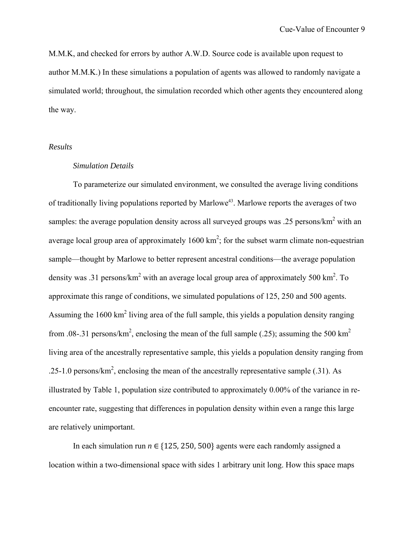M.M.K, and checked for errors by author A.W.D. Source code is available upon request to author M.M.K.) In these simulations a population of agents was allowed to randomly navigate a simulated world; throughout, the simulation recorded which other agents they encountered along the way.

## *Results*

# *Simulation Details*

To parameterize our simulated environment, we consulted the average living conditions of traditionally living populations reported by Marlowe<sup>43</sup>. Marlowe reports the averages of two samples: the average population density across all surveyed groups was .25 persons/ $km^2$  with an average local group area of approximately  $1600 \text{ km}^2$ ; for the subset warm climate non-equestrian sample—thought by Marlowe to better represent ancestral conditions—the average population density was .31 persons/km<sup>2</sup> with an average local group area of approximately 500 km<sup>2</sup>. To approximate this range of conditions, we simulated populations of 125, 250 and 500 agents. Assuming the  $1600 \text{ km}^2$  living area of the full sample, this yields a population density ranging from .08-.31 persons/km<sup>2</sup>, enclosing the mean of the full sample (.25); assuming the 500 km<sup>2</sup> living area of the ancestrally representative sample, this yields a population density ranging from .25-1.0 persons/ $km^2$ , enclosing the mean of the ancestrally representative sample (.31). As illustrated by Table 1, population size contributed to approximately 0.00% of the variance in reencounter rate, suggesting that differences in population density within even a range this large are relatively unimportant.

In each simulation run  $n \in \{125, 250, 500\}$  agents were each randomly assigned a location within a two-dimensional space with sides 1 arbitrary unit long. How this space maps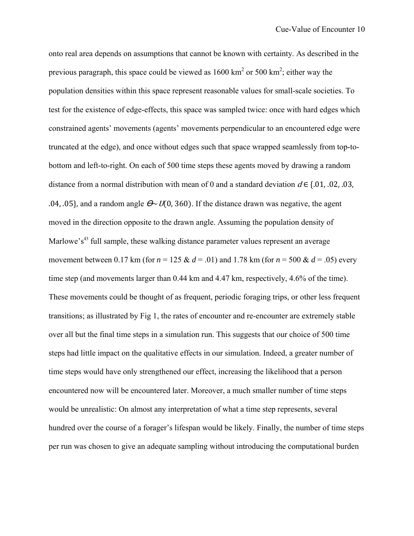onto real area depends on assumptions that cannot be known with certainty. As described in the previous paragraph, this space could be viewed as  $1600 \text{ km}^2$  or 500 km<sup>2</sup>; either way the population densities within this space represent reasonable values for small-scale societies. To test for the existence of edge-effects, this space was sampled twice: once with hard edges which constrained agents' movements (agents' movements perpendicular to an encountered edge were truncated at the edge), and once without edges such that space wrapped seamlessly from top-tobottom and left-to-right. On each of 500 time steps these agents moved by drawing a random distance from a normal distribution with mean of 0 and a standard deviation  $d \in \{0.01, 0.02, 0.03, \ldots\}$ .04, .05}, and a random angle  $\theta \sim U(0, 360)$ . If the distance drawn was negative, the agent moved in the direction opposite to the drawn angle. Assuming the population density of Marlowe's<sup>43</sup> full sample, these walking distance parameter values represent an average movement between 0.17 km (for  $n = 125 \& d = .01$ ) and 1.78 km (for  $n = 500 \& d = .05$ ) every time step (and movements larger than 0.44 km and 4.47 km, respectively, 4.6% of the time). These movements could be thought of as frequent, periodic foraging trips, or other less frequent transitions; as illustrated by Fig 1, the rates of encounter and re-encounter are extremely stable over all but the final time steps in a simulation run. This suggests that our choice of 500 time steps had little impact on the qualitative effects in our simulation. Indeed, a greater number of time steps would have only strengthened our effect, increasing the likelihood that a person encountered now will be encountered later. Moreover, a much smaller number of time steps would be unrealistic: On almost any interpretation of what a time step represents, several hundred over the course of a forager's lifespan would be likely. Finally, the number of time steps per run was chosen to give an adequate sampling without introducing the computational burden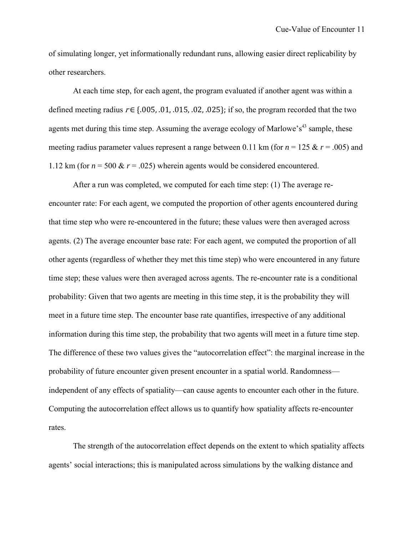of simulating longer, yet informationally redundant runs, allowing easier direct replicability by other researchers.

At each time step, for each agent, the program evaluated if another agent was within a defined meeting radius  $r \in \{.005, .01, .015, .02, .025\}$ ; if so, the program recorded that the two agents met during this time step. Assuming the average ecology of Marlowe's<sup>43</sup> sample, these meeting radius parameter values represent a range between 0.11 km (for  $n = 125 \& r = .005$ ) and 1.12 km (for  $n = 500 \& r = .025$ ) wherein agents would be considered encountered.

After a run was completed, we computed for each time step: (1) The average reencounter rate: For each agent, we computed the proportion of other agents encountered during that time step who were re-encountered in the future; these values were then averaged across agents. (2) The average encounter base rate: For each agent, we computed the proportion of all other agents (regardless of whether they met this time step) who were encountered in any future time step; these values were then averaged across agents. The re-encounter rate is a conditional probability: Given that two agents are meeting in this time step, it is the probability they will meet in a future time step. The encounter base rate quantifies, irrespective of any additional information during this time step, the probability that two agents will meet in a future time step. The difference of these two values gives the "autocorrelation effect": the marginal increase in the probability of future encounter given present encounter in a spatial world. Randomness independent of any effects of spatiality—can cause agents to encounter each other in the future. Computing the autocorrelation effect allows us to quantify how spatiality affects re-encounter rates.

The strength of the autocorrelation effect depends on the extent to which spatiality affects agents' social interactions; this is manipulated across simulations by the walking distance and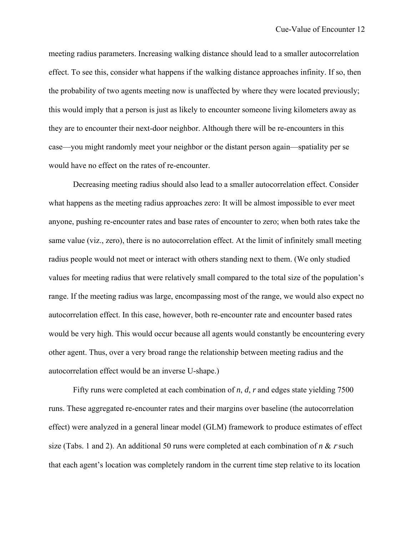meeting radius parameters. Increasing walking distance should lead to a smaller autocorrelation effect. To see this, consider what happens if the walking distance approaches infinity. If so, then the probability of two agents meeting now is unaffected by where they were located previously; this would imply that a person is just as likely to encounter someone living kilometers away as they are to encounter their next-door neighbor. Although there will be re-encounters in this case—you might randomly meet your neighbor or the distant person again—spatiality per se would have no effect on the rates of re-encounter.

Decreasing meeting radius should also lead to a smaller autocorrelation effect. Consider what happens as the meeting radius approaches zero: It will be almost impossible to ever meet anyone, pushing re-encounter rates and base rates of encounter to zero; when both rates take the same value (viz., zero), there is no autocorrelation effect. At the limit of infinitely small meeting radius people would not meet or interact with others standing next to them. (We only studied values for meeting radius that were relatively small compared to the total size of the population's range. If the meeting radius was large, encompassing most of the range, we would also expect no autocorrelation effect. In this case, however, both re-encounter rate and encounter based rates would be very high. This would occur because all agents would constantly be encountering every other agent. Thus, over a very broad range the relationship between meeting radius and the autocorrelation effect would be an inverse U-shape.)

Fifty runs were completed at each combination of *n*, *d*, *r* and edges state yielding 7500 runs. These aggregated re-encounter rates and their margins over baseline (the autocorrelation effect) were analyzed in a general linear model (GLM) framework to produce estimates of effect size (Tabs. 1 and 2). An additional 50 runs were completed at each combination of *n* & r such that each agent's location was completely random in the current time step relative to its location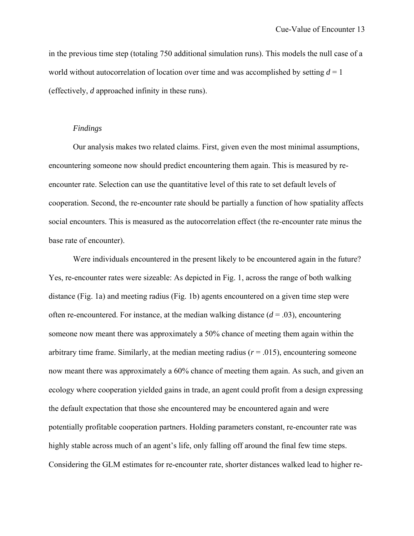in the previous time step (totaling 750 additional simulation runs). This models the null case of a world without autocorrelation of location over time and was accomplished by setting  $d = 1$ (effectively, *d* approached infinity in these runs).

#### *Findings*

Our analysis makes two related claims. First, given even the most minimal assumptions, encountering someone now should predict encountering them again. This is measured by reencounter rate. Selection can use the quantitative level of this rate to set default levels of cooperation. Second, the re-encounter rate should be partially a function of how spatiality affects social encounters. This is measured as the autocorrelation effect (the re-encounter rate minus the base rate of encounter).

Were individuals encountered in the present likely to be encountered again in the future? Yes, re-encounter rates were sizeable: As depicted in Fig. 1, across the range of both walking distance (Fig. 1a) and meeting radius (Fig. 1b) agents encountered on a given time step were often re-encountered. For instance, at the median walking distance  $(d = .03)$ , encountering someone now meant there was approximately a 50% chance of meeting them again within the arbitrary time frame. Similarly, at the median meeting radius  $(r = .015)$ , encountering someone now meant there was approximately a 60% chance of meeting them again. As such, and given an ecology where cooperation yielded gains in trade, an agent could profit from a design expressing the default expectation that those she encountered may be encountered again and were potentially profitable cooperation partners. Holding parameters constant, re-encounter rate was highly stable across much of an agent's life, only falling off around the final few time steps. Considering the GLM estimates for re-encounter rate, shorter distances walked lead to higher re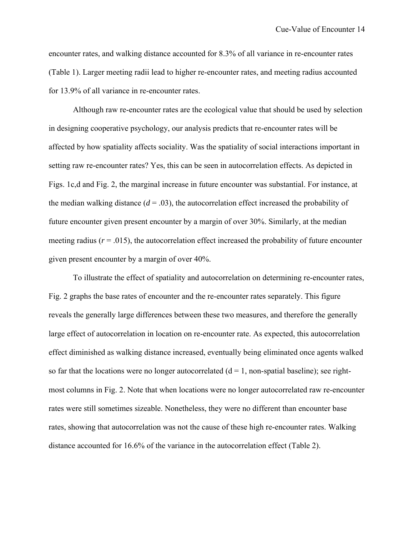encounter rates, and walking distance accounted for 8.3% of all variance in re-encounter rates (Table 1). Larger meeting radii lead to higher re-encounter rates, and meeting radius accounted for 13.9% of all variance in re-encounter rates.

Although raw re-encounter rates are the ecological value that should be used by selection in designing cooperative psychology, our analysis predicts that re-encounter rates will be affected by how spatiality affects sociality. Was the spatiality of social interactions important in setting raw re-encounter rates? Yes, this can be seen in autocorrelation effects. As depicted in Figs. 1c,d and Fig. 2, the marginal increase in future encounter was substantial. For instance, at the median walking distance  $(d = .03)$ , the autocorrelation effect increased the probability of future encounter given present encounter by a margin of over 30%. Similarly, at the median meeting radius  $(r = .015)$ , the autocorrelation effect increased the probability of future encounter given present encounter by a margin of over 40%.

To illustrate the effect of spatiality and autocorrelation on determining re-encounter rates, Fig. 2 graphs the base rates of encounter and the re-encounter rates separately. This figure reveals the generally large differences between these two measures, and therefore the generally large effect of autocorrelation in location on re-encounter rate. As expected, this autocorrelation effect diminished as walking distance increased, eventually being eliminated once agents walked so far that the locations were no longer autocorrelated  $(d = 1, non-spatial baseline)$ ; see rightmost columns in Fig. 2. Note that when locations were no longer autocorrelated raw re-encounter rates were still sometimes sizeable. Nonetheless, they were no different than encounter base rates, showing that autocorrelation was not the cause of these high re-encounter rates. Walking distance accounted for 16.6% of the variance in the autocorrelation effect (Table 2).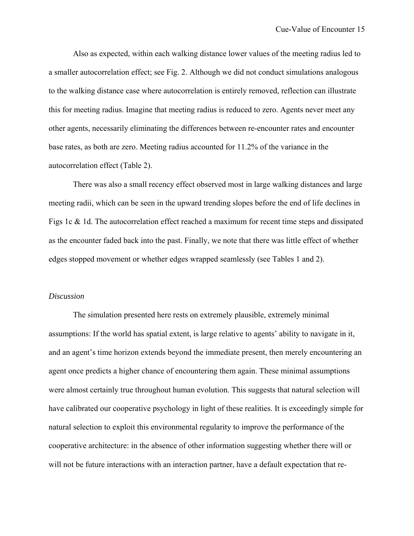Also as expected, within each walking distance lower values of the meeting radius led to a smaller autocorrelation effect; see Fig. 2. Although we did not conduct simulations analogous to the walking distance case where autocorrelation is entirely removed, reflection can illustrate this for meeting radius. Imagine that meeting radius is reduced to zero. Agents never meet any other agents, necessarily eliminating the differences between re-encounter rates and encounter base rates, as both are zero. Meeting radius accounted for 11.2% of the variance in the autocorrelation effect (Table 2).

There was also a small recency effect observed most in large walking distances and large meeting radii, which can be seen in the upward trending slopes before the end of life declines in Figs 1c & 1d. The autocorrelation effect reached a maximum for recent time steps and dissipated as the encounter faded back into the past. Finally, we note that there was little effect of whether edges stopped movement or whether edges wrapped seamlessly (see Tables 1 and 2).

#### *Discussion*

The simulation presented here rests on extremely plausible, extremely minimal assumptions: If the world has spatial extent, is large relative to agents' ability to navigate in it, and an agent's time horizon extends beyond the immediate present, then merely encountering an agent once predicts a higher chance of encountering them again. These minimal assumptions were almost certainly true throughout human evolution. This suggests that natural selection will have calibrated our cooperative psychology in light of these realities. It is exceedingly simple for natural selection to exploit this environmental regularity to improve the performance of the cooperative architecture: in the absence of other information suggesting whether there will or will not be future interactions with an interaction partner, have a default expectation that re-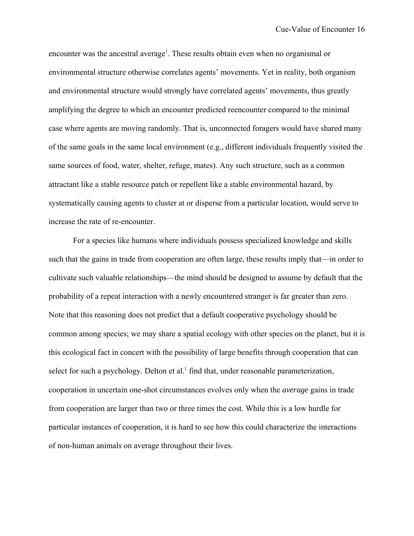encounter was the ancestral average<sup>1</sup>. These results obtain even when no organismal or environmental structure otherwise correlates agents' movements. Yet in reality, both organism and environmental structure would strongly have correlated agents' movements, thus greatly amplifying the degree to which an encounter predicted reencounter compared to the minimal case where agents are moving randomly. That is, unconnected foragers would have shared many of the same goals in the same local environment (e.g., different individuals frequently visited the same sources of food, water, shelter, refuge, mates). Any such structure, such as a common attractant like a stable resource patch or repellent like a stable environmental hazard, by systematically causing agents to cluster at or disperse from a particular location, would serve to increase the rate of re-encounter.

For a species like humans where individuals possess specialized knowledge and skills such that the gains in trade from cooperation are often large, these results imply that—in order to cultivate such valuable relationships—the mind should be designed to assume by default that the probability of a repeat interaction with a newly encountered stranger is far greater than zero. Note that this reasoning does not predict that a default cooperative psychology should be common among species; we may share a spatial ecology with other species on the planet, but it is this ecological fact in concert with the possibility of large benefits through cooperation that can select for such a psychology. Delton et al.<sup>1</sup> find that, under reasonable parameterization, cooperation in uncertain one-shot circumstances evolves only when the *average* gains in trade from cooperation are larger than two or three times the cost. While this is a low hurdle for particular instances of cooperation, it is hard to see how this could characterize the interactions of non-human animals on average throughout their lives.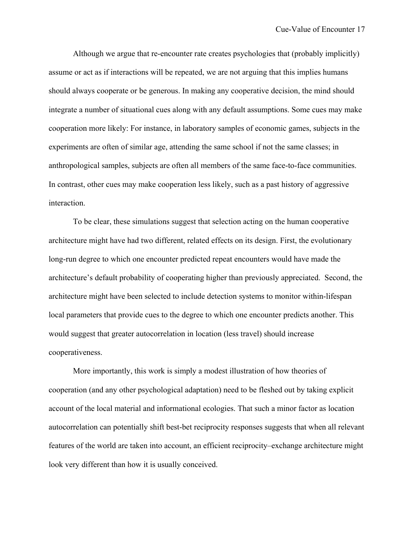Although we argue that re-encounter rate creates psychologies that (probably implicitly) assume or act as if interactions will be repeated, we are not arguing that this implies humans should always cooperate or be generous. In making any cooperative decision, the mind should integrate a number of situational cues along with any default assumptions. Some cues may make cooperation more likely: For instance, in laboratory samples of economic games, subjects in the experiments are often of similar age, attending the same school if not the same classes; in anthropological samples, subjects are often all members of the same face-to-face communities. In contrast, other cues may make cooperation less likely, such as a past history of aggressive interaction.

To be clear, these simulations suggest that selection acting on the human cooperative architecture might have had two different, related effects on its design. First, the evolutionary long-run degree to which one encounter predicted repeat encounters would have made the architecture's default probability of cooperating higher than previously appreciated. Second, the architecture might have been selected to include detection systems to monitor within-lifespan local parameters that provide cues to the degree to which one encounter predicts another. This would suggest that greater autocorrelation in location (less travel) should increase cooperativeness.

More importantly, this work is simply a modest illustration of how theories of cooperation (and any other psychological adaptation) need to be fleshed out by taking explicit account of the local material and informational ecologies. That such a minor factor as location autocorrelation can potentially shift best-bet reciprocity responses suggests that when all relevant features of the world are taken into account, an efficient reciprocity–exchange architecture might look very different than how it is usually conceived.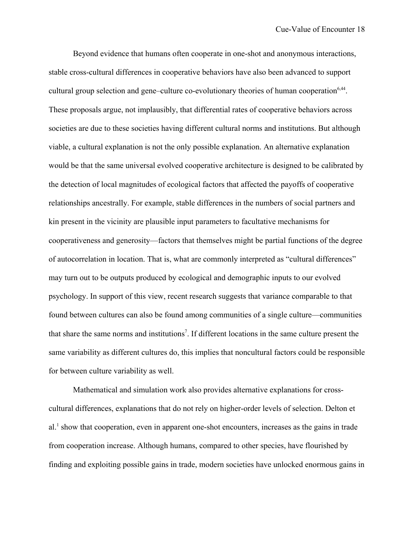Beyond evidence that humans often cooperate in one-shot and anonymous interactions, stable cross-cultural differences in cooperative behaviors have also been advanced to support cultural group selection and gene–culture co-evolutionary theories of human cooperation<sup>6,44</sup>. These proposals argue, not implausibly, that differential rates of cooperative behaviors across societies are due to these societies having different cultural norms and institutions. But although viable, a cultural explanation is not the only possible explanation. An alternative explanation would be that the same universal evolved cooperative architecture is designed to be calibrated by the detection of local magnitudes of ecological factors that affected the payoffs of cooperative relationships ancestrally. For example, stable differences in the numbers of social partners and kin present in the vicinity are plausible input parameters to facultative mechanisms for cooperativeness and generosity—factors that themselves might be partial functions of the degree of autocorrelation in location. That is, what are commonly interpreted as "cultural differences" may turn out to be outputs produced by ecological and demographic inputs to our evolved psychology. In support of this view, recent research suggests that variance comparable to that found between cultures can also be found among communities of a single culture—communities that share the same norms and institutions<sup>7</sup>. If different locations in the same culture present the same variability as different cultures do, this implies that noncultural factors could be responsible for between culture variability as well.

Mathematical and simulation work also provides alternative explanations for crosscultural differences, explanations that do not rely on higher-order levels of selection. Delton et al.<sup>1</sup> show that cooperation, even in apparent one-shot encounters, increases as the gains in trade from cooperation increase. Although humans, compared to other species, have flourished by finding and exploiting possible gains in trade, modern societies have unlocked enormous gains in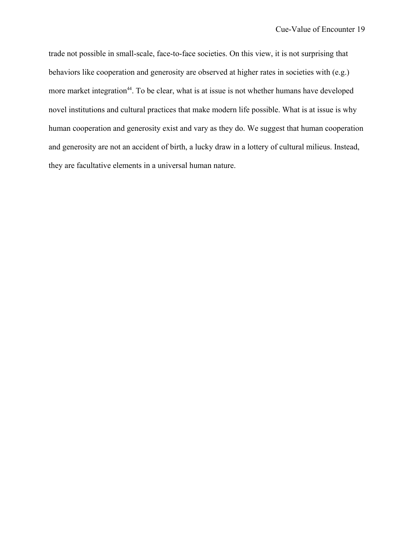trade not possible in small-scale, face-to-face societies. On this view, it is not surprising that behaviors like cooperation and generosity are observed at higher rates in societies with (e.g.) more market integration<sup>44</sup>. To be clear, what is at issue is not whether humans have developed novel institutions and cultural practices that make modern life possible. What is at issue is why human cooperation and generosity exist and vary as they do. We suggest that human cooperation and generosity are not an accident of birth, a lucky draw in a lottery of cultural milieus. Instead, they are facultative elements in a universal human nature.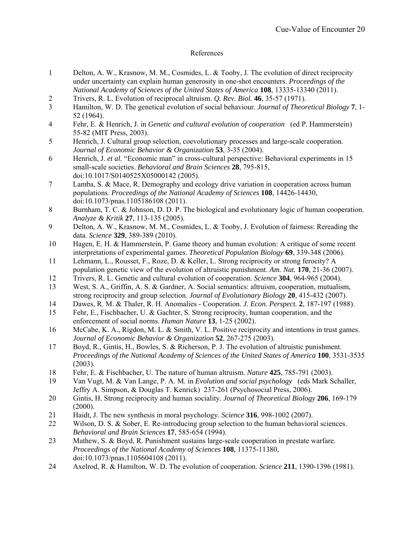## References

- 1 Delton, A. W., Krasnow, M. M., Cosmides, L. & Tooby, J. The evolution of direct reciprocity under uncertainty can explain human generosity in one-shot encounters. *Proceedings of the National Academy of Sciences of the United States of America* **108**, 13335-13340 (2011).
- 2 Trivers, R. L. Evolution of reciprocal altruism. *Q. Rev. Biol.* **46**, 35-57 (1971).
- 3 Hamilton, W. D. The genetical evolution of social behaviour. *Journal of Theoretical Biology* **7**, 1- 52 (1964).
- 4 Fehr, E. & Henrich, J. in *Genetic and cultural evolution of cooperation* (ed P. Hammerstein) 55-82 (MIT Press, 2003).
- 5 Henrich, J. Cultural group selection, coevolutionary processes and large-scale cooperation. *Journal of Economic Behavior & Organization* **53**, 3-35 (2004).
- 6 Henrich, J. *et al.* "Economic man" in cross-cultural perspective: Behavioral experiments in 15 small-scale societies. *Behavioral and Brain Sciences* **28**, 795-815, doi:10.1017/S0140525X05000142 (2005).
- 7 Lamba, S. & Mace, R. Demography and ecology drive variation in cooperation across human populations. *Proceedings of the National Academy of Sciences* **108**, 14426-14430, doi:10.1073/pnas.1105186108 (2011).
- 8 Burnham, T. C. & Johnson, D. D. P. The biological and evolutionary logic of human cooperation. *Analyze & Kritik* **27**, 113-135 (2005).
- 9 Delton, A. W., Krasnow, M. M., Cosmides, L. & Tooby, J. Evolution of fairness: Rereading the data. *Science* **329**, 389-389 (2010).
- 10 Hagen, E. H. & Hammerstein, P. Game theory and human evolution: A critique of some recent interpretations of experimental games. *Theoretical Population Biology* **69**, 339-348 (2006).
- 11 Lehmann, L., Rousset, F., Roze, D. & Keller, L. Strong reciprocity or strong ferocity? A population genetic view of the evolution of altruistic punishment. *Am. Nat.* **170**, 21-36 (2007).
- 12 Trivers, R. L. Genetic and cultural evolution of cooperation. *Science* **304**, 964-965 (2004).
- 13 West, S. A., Griffin, A. S. & Gardner, A. Social semantics: altruism, cooperation, mutualism, strong reciprocity and group selection. *Journal of Evolutionary Biology* **20**, 415-432 (2007).
- 14 Dawes, R. M. & Thaler, R. H. Anomalies Cooperation. *J. Econ. Perspect.* **2**, 187-197 (1988).
- 15 Fehr, E., Fischbacher, U. & Gachter, S. Strong reciprocity, human cooperation, and the enforcement of social norms. *Human Nature* **13**, 1-25 (2002).
- 16 McCabe, K. A., Rigdon, M. L. & Smith, V. L. Positive reciprocity and intentions in trust games. *Journal of Economic Behavior & Organization* **52**, 267-275 (2003).
- 17 Boyd, R., Gintis, H., Bowles, S. & Richerson, P. J. The evolution of altruistic punishment. *Proceedings of the National Academy of Sciences of the United States of America* **100**, 3531-3535 (2003).
- 18 Fehr, E. & Fischbacher, U. The nature of human altruism. *Nature* **425**, 785-791 (2003).
- 19 Van Vugt, M. & Van Lange, P. A. M. in *Evolution and social psychology* (eds Mark Schaller, Jeffry A. Simpson, & Douglas T. Kenrick) 237-261 (Psychosocial Press, 2006).
- 20 Gintis, H. Strong reciprocity and human sociality. *Journal of Theoretical Biology* **206**, 169-179 (2000).
- 21 Haidt, J. The new synthesis in moral psychology. *Science* **316**, 998-1002 (2007).
- 22 Wilson, D. S. & Sober, E. Re-introducing group selection to the human behavioral sciences. *Behavioral and Brain Sciences* **17**, 585-654 (1994).
- 23 Mathew, S. & Boyd, R. Punishment sustains large-scale cooperation in prestate warfare. *Proceedings of the National Academy of Sciences* **108**, 11375-11380, doi:10.1073/pnas.1105604108 (2011).
- 24 Axelrod, R. & Hamilton, W. D. The evolution of cooperation. *Science* **211**, 1390-1396 (1981).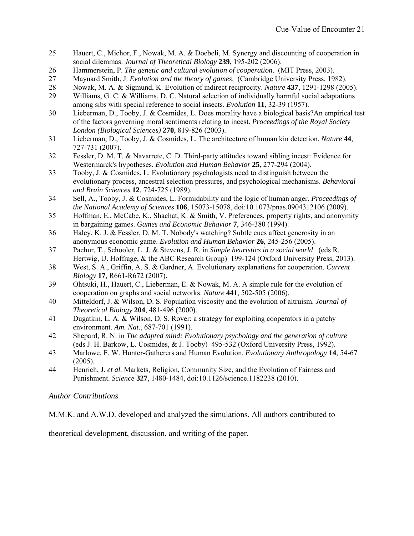- 25 Hauert, C., Michor, F., Nowak, M. A. & Doebeli, M. Synergy and discounting of cooperation in social dilemmas. *Journal of Theoretical Biology* **239**, 195-202 (2006).
- 26 Hammerstein, P. *The genetic and cultural evolution of cooperation*. (MIT Press, 2003).
- 27 Maynard Smith, J. *Evolution and the theory of games*. (Cambridge University Press, 1982).
- 28 Nowak, M. A. & Sigmund, K. Evolution of indirect reciprocity. *Nature* **437**, 1291-1298 (2005).
- 29 Williams, G. C. & Williams, D. C. Natural selection of individually harmful social adaptations among sibs with special reference to social insects. *Evolution* **11**, 32-39 (1957).
- 30 Lieberman, D., Tooby, J. & Cosmides, L. Does morality have a biological basis?An empirical test of the factors governing moral sentiments relating to incest. *Proceedings of the Royal Society London (Biological Sciences)* **270**, 819-826 (2003).
- 31 Lieberman, D., Tooby, J. & Cosmides, L. The architecture of human kin detection. *Nature* **44**, 727-731 (2007).
- 32 Fessler, D. M. T. & Navarrete, C. D. Third-party attitudes toward sibling incest: Evidence for Westermarck's hypotheses. *Evolution and Human Behavior* **25**, 277-294 (2004).
- 33 Tooby, J. & Cosmides, L. Evolutionary psychologists need to distinguish between the evolutionary process, ancestral selection pressures, and psychological mechanisms. *Behavioral and Brain Sciences* **12**, 724-725 (1989).
- 34 Sell, A., Tooby, J. & Cosmides, L. Formidability and the logic of human anger. *Proceedings of the National Academy of Sciences* **106**, 15073-15078, doi:10.1073/pnas.0904312106 (2009).
- 35 Hoffman, E., McCabe, K., Shachat, K. & Smith, V. Preferences, property rights, and anonymity in bargaining games. *Games and Economic Behavior* **7**, 346-380 (1994).
- 36 Haley, K. J. & Fessler, D. M. T. Nobody's watching? Subtle cues affect generosity in an anonymous economic game. *Evolution and Human Behavior* **26**, 245-256 (2005).
- 37 Pachur, T., Schooler, L. J. & Stevens, J. R. in *Simple heuristics in a social world* (eds R. Hertwig, U. Hoffrage, & the ABC Research Group) 199-124 (Oxford University Press, 2013).
- 38 West, S. A., Griffin, A. S. & Gardner, A. Evolutionary explanations for cooperation. *Current Biology* **17**, R661-R672 (2007).
- 39 Ohtsuki, H., Hauert, C., Lieberman, E. & Nowak, M. A. A simple rule for the evolution of cooperation on graphs and social networks. *Nature* **441**, 502-505 (2006).
- 40 Mitteldorf, J. & Wilson, D. S. Population viscosity and the evolution of altruism. *Journal of Theoretical Biology* **204**, 481-496 (2000).
- 41 Dugatkin, L. A. & Wilson, D. S. Rover: a strategy for exploiting cooperators in a patchy environment. *Am. Nat.*, 687-701 (1991).
- 42 Shepard, R. N. in *The adapted mind: Evolutionary psychology and the generation of culture* (eds J. H. Barkow, L. Cosmides, & J. Tooby) 495-532 (Oxford University Press, 1992).
- 43 Marlowe, F. W. Hunter-Gatherers and Human Evolution. *Evolutionary Anthropology* **14**, 54-67 (2005).
- 44 Henrich, J. *et al.* Markets, Religion, Community Size, and the Evolution of Fairness and Punishment. *Science* **327**, 1480-1484, doi:10.1126/science.1182238 (2010).

# *Author Contributions*

M.M.K. and A.W.D. developed and analyzed the simulations. All authors contributed to

theoretical development, discussion, and writing of the paper.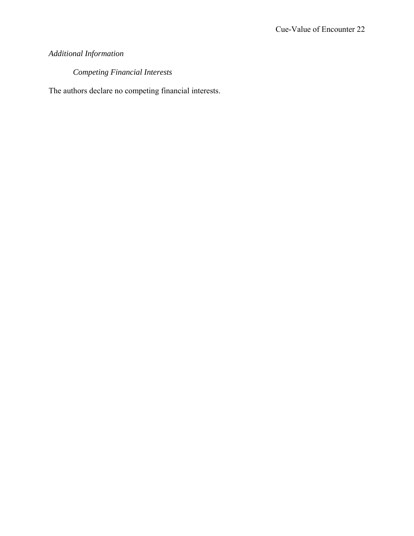# *Additional Information*

*Competing Financial Interests* 

The authors declare no competing financial interests.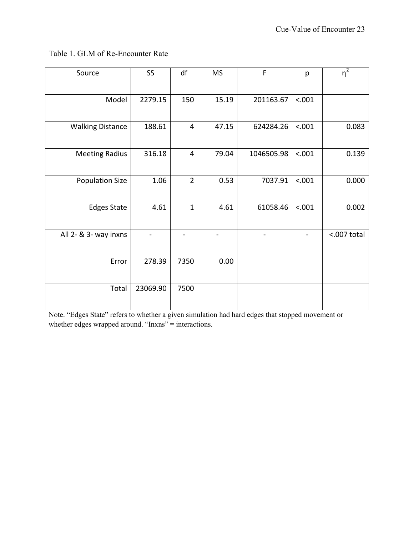|  |  |  | Table 1. GLM of Re-Encounter Rate |  |
|--|--|--|-----------------------------------|--|
|--|--|--|-----------------------------------|--|

| Source                  | SS       | df             | <b>MS</b> | F          | p      | $\overline{\eta^2}$ |
|-------------------------|----------|----------------|-----------|------------|--------|---------------------|
|                         |          |                |           |            |        |                     |
| Model                   | 2279.15  | 150            | 15.19     | 201163.67  | < .001 |                     |
|                         |          |                |           |            |        |                     |
| <b>Walking Distance</b> | 188.61   | $\overline{4}$ | 47.15     | 624284.26  | < .001 | 0.083               |
|                         |          |                |           |            |        |                     |
| <b>Meeting Radius</b>   | 316.18   | $\overline{4}$ | 79.04     | 1046505.98 | < .001 | 0.139               |
|                         |          |                |           |            |        |                     |
| <b>Population Size</b>  | 1.06     | $\overline{2}$ | 0.53      | 7037.91    | < .001 | 0.000               |
|                         |          |                |           |            |        |                     |
| <b>Edges State</b>      | 4.61     | $\mathbf{1}$   | 4.61      | 61058.46   | < .001 | 0.002               |
|                         |          |                |           |            |        |                     |
| All 2- & 3- way inxns   |          |                |           |            |        | <.007 total         |
|                         |          |                |           |            |        |                     |
| Error                   | 278.39   | 7350           | 0.00      |            |        |                     |
|                         |          |                |           |            |        |                     |
| Total                   | 23069.90 | 7500           |           |            |        |                     |
|                         |          |                |           |            |        |                     |

Note. "Edges State" refers to whether a given simulation had hard edges that stopped movement or whether edges wrapped around. "Inxns" = interactions.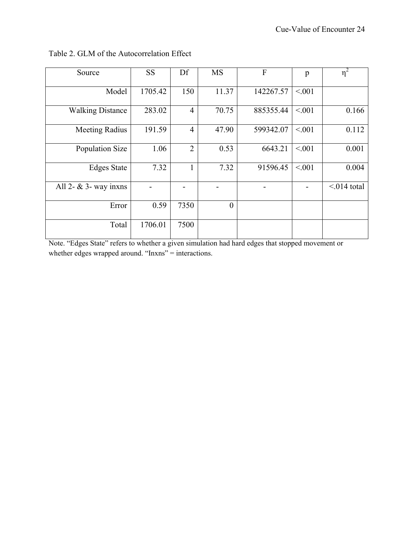| Source                   | <b>SS</b> | Df             | <b>MS</b> | F         | p      | $\eta^2$         |
|--------------------------|-----------|----------------|-----------|-----------|--------|------------------|
| Model                    | 1705.42   | 150            | 11.37     | 142267.57 | < 0.01 |                  |
| <b>Walking Distance</b>  | 283.02    | $\overline{4}$ | 70.75     | 885355.44 | < 0.01 | 0.166            |
| Meeting Radius           | 191.59    | $\overline{4}$ | 47.90     | 599342.07 | < 0.01 | 0.112            |
| Population Size          | 1.06      | $\overline{2}$ | 0.53      | 6643.21   | < 0.01 | 0.001            |
| <b>Edges State</b>       | 7.32      | 1              | 7.32      | 91596.45  | < 0.01 | 0.004            |
| All 2- $\&$ 3- way inxns |           |                |           |           |        | $\leq$ 014 total |
| Error                    | 0.59      | 7350           | $\theta$  |           |        |                  |
| Total                    | 1706.01   | 7500           |           |           |        |                  |

Table 2. GLM of the Autocorrelation Effect

Note. "Edges State" refers to whether a given simulation had hard edges that stopped movement or whether edges wrapped around. "Inxns" = interactions.